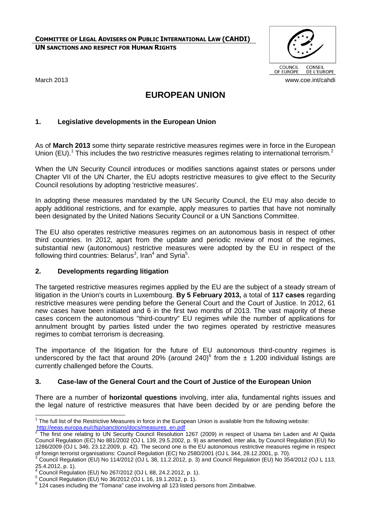**COMMITTEE OF LEGAL ADVISERS ON PUBLIC INTERNATIONAL LAW (CAHDI) UN SANCTIONS AND RESPECT FOR HUMAN RIGHTS**



# **EUROPEAN UNION**

# **1. Legislative developments in the European Union**

As of **March 2013** some thirty separate restrictive measures regimes were in force in the European Union (EU).<sup>1</sup> This includes the two restrictive measures regimes relating to international terrorism.<sup>2</sup>

When the UN Security Council introduces or modifies sanctions against states or persons under Chapter VII of the UN Charter, the EU adopts restrictive measures to give effect to the Security Council resolutions by adopting 'restrictive measures'.

In adopting these measures mandated by the UN Security Council, the EU may also decide to apply additional restrictions, and for example, apply measures to parties that have not nominally been designated by the United Nations Security Council or a UN Sanctions Committee.

The EU also operates restrictive measures regimes on an autonomous basis in respect of other third countries. In 2012, apart from the update and periodic review of most of the regimes, substantial new (autonomous) restrictive measures were adopted by the EU in respect of the following third countries: Belarus<sup>3</sup>, Iran<sup>4</sup> and Syria<sup>5</sup>.

## **2. Developments regarding litigation**

The targeted restrictive measures regimes applied by the EU are the subject of a steady stream of litigation in the Union's courts in Luxembourg. **By 5 February 2013,** a total of **117 cases** regarding restrictive measures were pending before the General Court and the Court of Justice. In 2012, 61 new cases have been initiated and 6 in the first two months of 2013. The vast majority of these cases concern the autonomous "third-country" EU regimes while the number of applications for annulment brought by parties listed under the two regimes operated by restrictive measures regimes to combat terrorism is decreasing.

The importance of the litigation for the future of EU autonomous third-country regimes is underscored by the fact that around 20% (around 240)<sup>6</sup> from the  $\pm$  1.200 individual listings are currently challenged before the Courts.

# **3. Case-law of the General Court and the Court of Justice of the European Union**

There are a number of **horizontal questions** involving, inter alia, fundamental rights issues and the legal nature of restrictive measures that have been decided by or are pending before the

 1 The full list of the Restrictive Measures in force in the European Union is available from the following website: [http://eeas.europa.eu/cfsp/sanctions/docs/measures\\_en.pdf](http://eeas.europa.eu/cfsp/sanctions/docs/measures_en.pdf)<br><sup>2</sup> The first and relating to UN Sequrity Council Besolution

The first one relating to UN Security Council Resolution 1267 (2009) in respect of Usama bin Laden and Al Qaida Council Regulation (EC) No 881/2002 (OJ L 139, 29.5.2002, p. 9) as amended, inter alia, by Council Regulation (EU) No 1286/2009 (OJ L 346, 23.12.2009, p. 42). The second one is the EU autonomous restrictive measures regime in respect of foreign terrorist organisations: Council Regulation (EC) No 2580/2001 (OJ L 344, 28.12.2001, p. 70).

<sup>3</sup> Council Regulation (EU) No 114/2012 (OJ L 38, 11.2.2012, p. 3) and Council Regulation (EU) No 354/2012 (OJ L 113, 25.4.2012, p. 1).

<sup>4</sup> Council Regulation (EU) No 267/2012 (OJ L 88, 24.2.2012, p. 1).

<sup>5</sup> Council Regulation (EU) No 36/2012 (OJ L 16, 19.1.2012, p. 1).

 $6$  124 cases including the "Tomana" case involving all 123 listed persons from Zimbabwe.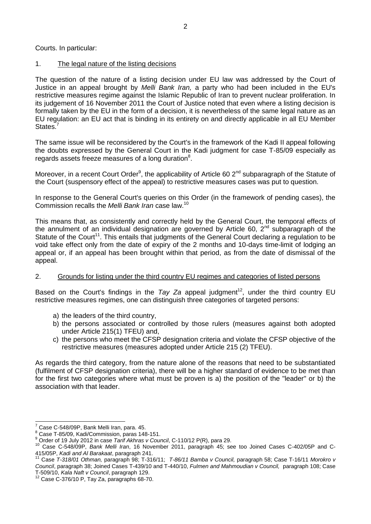Courts. In particular:

## 1. The legal nature of the listing decisions

The question of the nature of a listing decision under EU law was addressed by the Court of Justice in an appeal brought by *Melli Bank Iran,* a party who had been included in the EU's restrictive measures regime against the Islamic Republic of Iran to prevent nuclear proliferation. In its judgement of 16 November 2011 the Court of Justice noted that even where a listing decision is formally taken by the EU in the form of a decision, it is nevertheless of the same legal nature as an EU regulation: an EU act that is binding in its entirety on and directly applicable in all EU Member States.<sup>7</sup>

The same issue will be reconsidered by the Court's in the framework of the Kadi II appeal following the doubts expressed by the General Court in the Kadi judgment for case T-85/09 especially as regards assets freeze measures of a long duration $8$ .

Moreover, in a recent Court Order<sup>9</sup>, the applicability of Article 60 2<sup>nd</sup> subparagraph of the Statute of the Court (suspensory effect of the appeal) to restrictive measures cases was put to question.

In response to the General Court's queries on this Order (in the framework of pending cases), the Commission recalls the *Melli Bank Iran* case law.<sup>10</sup>

This means that, as consistently and correctly held by the General Court, the temporal effects of the annulment of an individual designation are governed by Article 60,  $2^{nd}$  subparagraph of the Statute of the Court<sup>11</sup>. This entails that judgments of the General Court declaring a regulation to be void take effect only from the date of expiry of the 2 months and 10-days time-limit of lodging an appeal or, if an appeal has been brought within that period, as from the date of dismissal of the appeal.

## 2. Grounds for listing under the third country EU regimes and categories of listed persons

Based on the Court's findings in the *Tay Za* appeal judgment<sup>12</sup>, under the third country EU restrictive measures regimes, one can distinguish three categories of targeted persons:

- a) the leaders of the third country,
- b) the persons associated or controlled by those rulers (measures against both adopted under Article 215(1) TFEU) and,
- c) the persons who meet the CFSP designation criteria and violate the CFSP objective of the restrictive measures (measures adopted under Article 215 (2) TFEU).

As regards the third category, from the nature alone of the reasons that need to be substantiated (fulfilment of CFSP designation criteria), there will be a higher standard of evidence to be met than for the first two categories where what must be proven is a) the position of the "leader" or b) the association with that leader.

÷

Case C-548/09P, Bank Melli Iran, para. 45.

<sup>8</sup> Case T-85/09, Kadi/Commission, paras 148-151.

<sup>9</sup> Order of 19 July 2012 in case *Tarif Akhras v Council*, C-110/12 P(R), para 29.

<sup>10</sup> Case C-548/09P, *Bank Melli Iran*, 16 November 2011, paragraph 45; see too Joined Cases C-402/05P and C-415/05P, *Kadi and Al Barakaat*, paragraph 241.

<sup>11</sup> Case *T-318/01 Othman,* paragraph 98; T-316/11; *T-86/11 Bamba v Council,* paragraph 58; Case T-16/11 *Morokro v Council*, paragraph 38; Joined Cases T-439/10 and T-440/10, *Fulmen and Mahmoudian v Council,* paragraph 108; Case T-509/10, *Kala Naft v Council*, paragraph 129.

 $12$  Case C-376/10 P, Tay Za, paragraphs 68-70.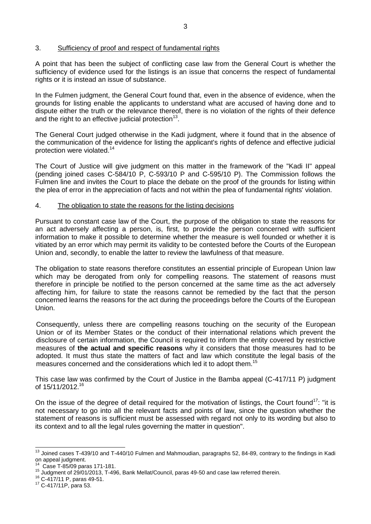#### 3. Sufficiency of proof and respect of fundamental rights

A point that has been the subject of conflicting case law from the General Court is whether the sufficiency of evidence used for the listings is an issue that concerns the respect of fundamental rights or it is instead an issue of substance.

In the Fulmen judgment, the General Court found that, even in the absence of evidence, when the grounds for listing enable the applicants to understand what are accused of having done and to dispute either the truth or the relevance thereof, there is no violation of the rights of their defence and the right to an effective judicial protection $^{13}$ .

The General Court judged otherwise in the Kadi judgment, where it found that in the absence of the communication of the evidence for listing the applicant's rights of defence and effective judicial protection were violated.<sup>14</sup>

The Court of Justice will give judgment on this matter in the framework of the "Kadi II" appeal (pending joined cases C-584/10 P, C-593/10 P and C-595/10 P). The Commission follows the Fulmen line and invites the Court to place the debate on the proof of the grounds for listing within the plea of error in the appreciation of facts and not within the plea of fundamental rights' violation.

#### 4. The obligation to state the reasons for the listing decisions

Pursuant to constant case law of the Court, the purpose of the obligation to state the reasons for an act adversely affecting a person, is, first, to provide the person concerned with sufficient information to make it possible to determine whether the measure is well founded or whether it is vitiated by an error which may permit its validity to be contested before the Courts of the European Union and, secondly, to enable the latter to review the lawfulness of that measure.

The obligation to state reasons therefore constitutes an essential principle of European Union law which may be derogated from only for compelling reasons. The statement of reasons must therefore in principle be notified to the person concerned at the same time as the act adversely affecting him, for failure to state the reasons cannot be remedied by the fact that the person concerned learns the reasons for the act during the proceedings before the Courts of the European Union.

Consequently, unless there are compelling reasons touching on the security of the European Union or of its Member States or the conduct of their international relations which prevent the disclosure of certain information, the Council is required to inform the entity covered by restrictive measures of **the actual and specific reasons** why it considers that those measures had to be adopted. It must thus state the matters of fact and law which constitute the legal basis of the measures concerned and the considerations which led it to adopt them.<sup>15</sup>

This case law was confirmed by the Court of Justice in the Bamba appeal (C-417/11 P) judgment of 15/11/2012.<sup>16</sup>

On the issue of the degree of detail required for the motivation of listings, the Court found<sup>17</sup>: "it is not necessary to go into all the relevant facts and points of law, since the question whether the statement of reasons is sufficient must be assessed with regard not only to its wording but also to its context and to all the legal rules governing the matter in question".

÷.

 $13$  Joined cases T-439/10 and T-440/10 Fulmen and Mahmoudian, paragraphs 52, 84-89, contrary to the findings in Kadi on appeal judgment.

Case T-85/09 paras 171-181.

<sup>15</sup> Judgment of 29/01/2013, T-496, Bank Mellat/Council, paras 49-50 and case law referred therein.

<sup>16</sup> C-417/11 P, paras 49-51.

<sup>17</sup> C-417/11P, para 53.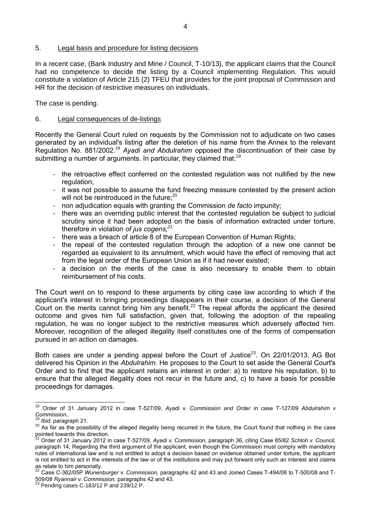#### 5. Legal basis and procedure for listing decisions

In a recent case, (Bank Industry and Mine / Council, T-10/13), the applicant claims that the Council had no competence to decide the listing by a Council implementing Regulation. This would constitute a violation of Article 215 (2) TFEU that provides for the joint proposal of Commission and HR for the decision of restrictive measures on individuals.

The case is pending.

#### 6. Legal consequences of de-listings

Recently the General Court ruled on requests by the Commission not to adjudicate on two cases generated by an individual's listing after the deletion of his name from the Annex to the relevant Regulation No. 881/2002.<sup>18</sup> *Ayadi and Abdulrahim* opposed the discontinuation of their case by submitting a number of arguments. In particular, they claimed that:  $19$ 

- the retroactive effect conferred on the contested regulation was not nullified by the new regulation:
- it was not possible to assume the fund freezing measure contested by the present action will not be reintroduced in the future;<sup>20</sup>
- non adjudication equals with granting the Commission *de facto* impunity;
- there was an overriding public interest that the contested regulation be subject to judicial scrutiny since it had been adopted on the basis of information extracted under torture, therefore in violation *of jus cogens;*<sup>21</sup>
- there was a breach of article 8 of the European Convention of Human Rights;
- the repeal of the contested regulation through the adoption of a new one cannot be regarded as equivalent to its annulment, which would have the effect of removing that act from the legal order of the European Union as if it had never existed;
- a decision on the merits of the case is also necessary to enable them to obtain reimbursement of his costs.

The Court went on to respond to these arguments by citing case law according to which if the applicant's interest in bringing proceedings disappears in their course, a decision of the General Court on the merits cannot bring him any benefit.<sup>22</sup> The repeal affords the applicant the desired outcome and gives him full satisfaction, given that, following the adoption of the repealing regulation, he was no longer subject to the restrictive measures which adversely affected him. Moreover, recognition of the alleged illegality itself constitutes one of the forms of compensation pursued in an action on damages.

Both cases are under a pending appeal before the Court of Justice<sup>23</sup>. On 22/01/2013, AG Bot delivered his Opinion in the *Abdulrahim.* He proposes to the Court to set aside the General Court's Order and to find that the applicant retains an interest in order: a) to restore his reputation, b) to ensure that the alleged illegality does not recur in the future and, c) to have a basis for possible proceedings for damages.

 $\frac{1}{1}$ <sup>18</sup> Order of 31 January 2012 in case T-527/09, *Ayadi* v. *Commission and Order* in case T-127/09 *Abdulrahim v Commission..*

*Ibid, paragraph 21.* 

<sup>&</sup>lt;sup>20</sup> As far as the possibility of the alleged illegality being recurred in the future, the Court found that nothing in the case pointed towards this direction.

<sup>21</sup> Order of 31 January 2012 in case T-527/09, *Ayadi v. Commission*, paragraph 36, citing Case 85/82 *Schloh* v. *Council,*  paragraph 14; Regarding the third argument of the applicant, even though the Commission must comply with mandatory rules of international law and is not entitled to adopt a decision based on evidence obtained under torture, the applicant is not entitled to act in the interests of the law or of the institutions and may put forward only such an interest and claims as relate to him personally.

<sup>22</sup> Case C-362/05P *Wunenburger* v. *Commission,* paragraphs 42 and 43 and Joined Cases T-494/08 to T-500/08 and T-509/08 *Ryannair v. Commission,* paragraphs 42 and 43.

 $23$  Pending cases C-183/12 P and 239/12 P.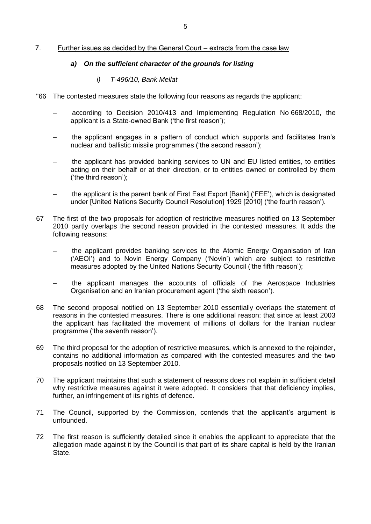#### 7. Further issues as decided by the General Court – extracts from the case law

#### *a) On the sufficient character of the grounds for listing*

## *i) T-496/10, Bank Mellat*

- "66 The contested measures state the following four reasons as regards the applicant:
	- according to Decision 2010/413 and Implementing Regulation No 668/2010, the applicant is a State-owned Bank ('the first reason');
	- the applicant engages in a pattern of conduct which supports and facilitates Iran's nuclear and ballistic missile programmes ('the second reason');
	- the applicant has provided banking services to UN and EU listed entities, to entities acting on their behalf or at their direction, or to entities owned or controlled by them ('the third reason');
	- the applicant is the parent bank of First East Export [Bank] ('FEE'), which is designated under [United Nations Security Council Resolution] 1929 [2010] ('the fourth reason').
- 67 The first of the two proposals for adoption of restrictive measures notified on 13 September 2010 partly overlaps the second reason provided in the contested measures. It adds the following reasons:
	- the applicant provides banking services to the Atomic Energy Organisation of Iran ('AEOI') and to Novin Energy Company ('Novin') which are subject to restrictive measures adopted by the United Nations Security Council ('the fifth reason');
	- the applicant manages the accounts of officials of the Aerospace Industries Organisation and an Iranian procurement agent ('the sixth reason').
- 68 The second proposal notified on 13 September 2010 essentially overlaps the statement of reasons in the contested measures. There is one additional reason: that since at least 2003 the applicant has facilitated the movement of millions of dollars for the Iranian nuclear programme ('the seventh reason').
- 69 The third proposal for the adoption of restrictive measures, which is annexed to the rejoinder, contains no additional information as compared with the contested measures and the two proposals notified on 13 September 2010.
- 70 The applicant maintains that such a statement of reasons does not explain in sufficient detail why restrictive measures against it were adopted. It considers that that deficiency implies, further, an infringement of its rights of defence.
- 71 The Council, supported by the Commission, contends that the applicant's argument is unfounded.
- 72 The first reason is sufficiently detailed since it enables the applicant to appreciate that the allegation made against it by the Council is that part of its share capital is held by the Iranian State.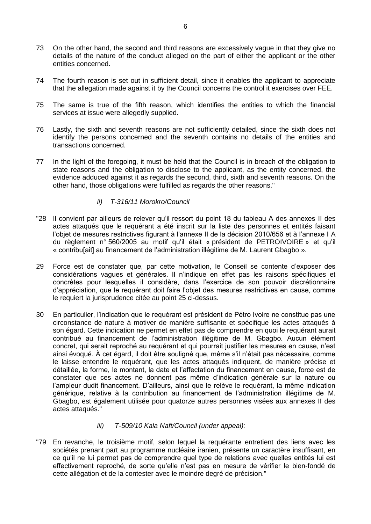- 73 On the other hand, the second and third reasons are excessively vague in that they give no details of the nature of the conduct alleged on the part of either the applicant or the other entities concerned.
- 74 The fourth reason is set out in sufficient detail, since it enables the applicant to appreciate that the allegation made against it by the Council concerns the control it exercises over FEE.
- 75 The same is true of the fifth reason, which identifies the entities to which the financial services at issue were allegedly supplied.
- 76 Lastly, the sixth and seventh reasons are not sufficiently detailed, since the sixth does not identify the persons concerned and the seventh contains no details of the entities and transactions concerned.
- 77 In the light of the foregoing, it must be held that the Council is in breach of the obligation to state reasons and the obligation to disclose to the applicant, as the entity concerned, the evidence adduced against it as regards the second, third, sixth and seventh reasons. On the other hand, those obligations were fulfilled as regards the other reasons."

## *ii) T-316/11 Morokro/Council*

- "28 Il convient par ailleurs de relever qu'il ressort du point 18 du tableau A des annexes II des actes attaqués que le requérant a été inscrit sur la liste des personnes et entités faisant l'objet de mesures restrictives figurant à l'annexe II de la décision 2010/656 et à l'annexe I A du règlement n° 560/2005 au motif qu'il était « président de PETROIVOIRE » et qu'il « contribu[ait] au financement de l'administration illégitime de M. Laurent Gbagbo ».
- 29 Force est de constater que, par cette motivation, le Conseil se contente d'exposer des considérations vagues et générales. Il n'indique en effet pas les raisons spécifiques et concrètes pour lesquelles il considère, dans l'exercice de son pouvoir discrétionnaire d'appréciation, que le requérant doit faire l'objet des mesures restrictives en cause, comme le requiert la jurisprudence citée au point 25 ci-dessus.
- 30 En particulier, l'indication que le requérant est président de Pétro Ivoire ne constitue pas une circonstance de nature à motiver de manière suffisante et spécifique les actes attaqués à son égard. Cette indication ne permet en effet pas de comprendre en quoi le requérant aurait contribué au financement de l'administration illégitime de M. Gbagbo. Aucun élément concret, qui serait reproché au requérant et qui pourrait justifier les mesures en cause, n'est ainsi évoqué. À cet égard, il doit être souligné que, même s'il n'était pas nécessaire, comme le laisse entendre le requérant, que les actes attaqués indiquent, de manière précise et détaillée, la forme, le montant, la date et l'affectation du financement en cause, force est de constater que ces actes ne donnent pas même d'indication générale sur la nature ou l'ampleur dudit financement. D'ailleurs, ainsi que le relève le requérant, la même indication générique, relative à la contribution au financement de l'administration illégitime de M. Gbagbo, est également utilisée pour quatorze autres personnes visées aux annexes II des actes attaqués."

#### *iii) T-509/10 Kala Naft/Council (under appeal):*

"79 En revanche, le troisième motif, selon lequel la requérante entretient des liens avec les sociétés prenant part au programme nucléaire iranien, présente un caractère insuffisant, en ce qu'il ne lui permet pas de comprendre quel type de relations avec quelles entités lui est effectivement reproché, de sorte qu'elle n'est pas en mesure de vérifier le bien-fondé de cette allégation et de la contester avec le moindre degré de précision."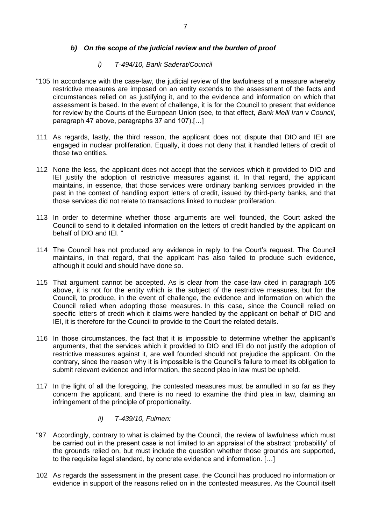## *b) On the scope of the judicial review and the burden of proof*

## *i) T-494/10, Bank Saderat/Council*

- "105 In accordance with the case-law, the judicial review of the lawfulness of a measure whereby restrictive measures are imposed on an entity extends to the assessment of the facts and circumstances relied on as justifying it, and to the evidence and information on which that assessment is based. In the event of challenge, it is for the Council to present that evidence for review by the Courts of the European Union (see, to that effect, *Bank Melli Iran* v *Council*, paragraph 47 above, paragraphs 37 and 107).[…]
- 111 As regards, lastly, the third reason, the applicant does not dispute that DIO and IEI are engaged in nuclear proliferation. Equally, it does not deny that it handled letters of credit of those two entities.
- 112 None the less, the applicant does not accept that the services which it provided to DIO and IEI justify the adoption of restrictive measures against it. In that regard, the applicant maintains, in essence, that those services were ordinary banking services provided in the past in the context of handling export letters of credit, issued by third-party banks, and that those services did not relate to transactions linked to nuclear proliferation.
- 113 In order to determine whether those arguments are well founded, the Court asked the Council to send to it detailed information on the letters of credit handled by the applicant on behalf of DIO and IEI. "
- 114 The Council has not produced any evidence in reply to the Court's request. The Council maintains, in that regard, that the applicant has also failed to produce such evidence, although it could and should have done so.
- 115 That argument cannot be accepted. As is clear from the case-law cited in paragraph 105 above, it is not for the entity which is the subject of the restrictive measures, but for the Council, to produce, in the event of challenge, the evidence and information on which the Council relied when adopting those measures. In this case, since the Council relied on specific letters of credit which it claims were handled by the applicant on behalf of DIO and IEI, it is therefore for the Council to provide to the Court the related details.
- 116 In those circumstances, the fact that it is impossible to determine whether the applicant's arguments, that the services which it provided to DIO and IEI do not justify the adoption of restrictive measures against it, are well founded should not prejudice the applicant. On the contrary, since the reason why it is impossible is the Council's failure to meet its obligation to submit relevant evidence and information, the second plea in law must be upheld.
- 117 In the light of all the foregoing, the contested measures must be annulled in so far as they concern the applicant, and there is no need to examine the third plea in law, claiming an infringement of the principle of proportionality.
	- *ii) T-439/10, Fulmen:*
- "97 Accordingly, contrary to what is claimed by the Council, the review of lawfulness which must be carried out in the present case is not limited to an appraisal of the abstract 'probability' of the grounds relied on, but must include the question whether those grounds are supported, to the requisite legal standard, by concrete evidence and information. […]
- 102 As regards the assessment in the present case, the Council has produced no information or evidence in support of the reasons relied on in the contested measures. As the Council itself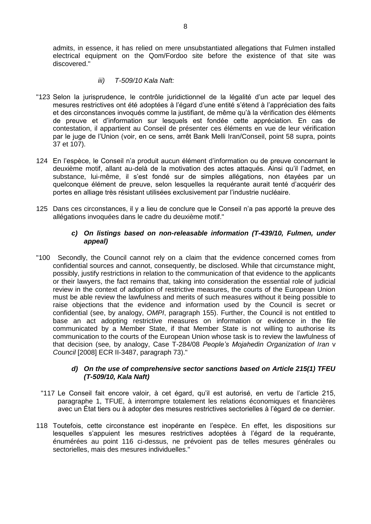admits, in essence, it has relied on mere unsubstantiated allegations that Fulmen installed electrical equipment on the Qom/Fordoo site before the existence of that site was discovered."

## *iii) T-509/10 Kala Naft:*

- "123 Selon la jurisprudence, le contrôle juridictionnel de la légalité d'un acte par lequel des mesures restrictives ont été adoptées à l'égard d'une entité s'étend à l'appréciation des faits et des circonstances invoqués comme la justifiant, de même qu'à la vérification des éléments de preuve et d'information sur lesquels est fondée cette appréciation. En cas de contestation, il appartient au Conseil de présenter ces éléments en vue de leur vérification par le juge de l'Union (voir, en ce sens, arrêt Bank Melli Iran/Conseil, point 58 supra, points 37 et 107).
- 124 En l'espèce, le Conseil n'a produit aucun élément d'information ou de preuve concernant le deuxième motif, allant au-delà de la motivation des actes attaqués. Ainsi qu'il l'admet, en substance, lui-même, il s'est fondé sur de simples allégations, non étayées par un quelconque élément de preuve, selon lesquelles la requérante aurait tenté d'acquérir des portes en alliage très résistant utilisées exclusivement par l'industrie nucléaire.
- 125 Dans ces circonstances, il y a lieu de conclure que le Conseil n'a pas apporté la preuve des allégations invoquées dans le cadre du deuxième motif."

## *c) On listings based on non-releasable information (T-439/10, Fulmen, under appeal)*

"100 Secondly, the Council cannot rely on a claim that the evidence concerned comes from confidential sources and cannot, consequently, be disclosed. While that circumstance might, possibly, justify restrictions in relation to the communication of that evidence to the applicants or their lawyers, the fact remains that, taking into consideration the essential role of judicial review in the context of adoption of restrictive measures, the courts of the European Union must be able review the lawfulness and merits of such measures without it being possible to raise objections that the evidence and information used by the Council is secret or confidential (see, by analogy, *OMPI*, paragraph 155). Further, the Council is not entitled to base an act adopting restrictive measures on information or evidence in the file communicated by a Member State, if that Member State is not willing to authorise its communication to the courts of the European Union whose task is to review the lawfulness of that decision (see, by analogy, Case T-284/08 *People's Mojahedin Organization of Iran* v *Council* [2008] ECR II-3487, paragraph 73)."

#### *d) On the use of comprehensive sector sanctions based on Article 215(1) TFEU (T-509/10, Kala Naft)*

- "117 Le Conseil fait encore valoir, à cet égard, qu'il est autorisé, en vertu de l'article 215, paragraphe 1, TFUE, à interrompre totalement les relations économiques et financières avec un État tiers ou à adopter des mesures restrictives sectorielles à l'égard de ce dernier.
- 118 Toutefois, cette circonstance est inopérante en l'espèce. En effet, les dispositions sur lesquelles s'appuient les mesures restrictives adoptées à l'égard de la requérante, énumérées au point 116 ci-dessus, ne prévoient pas de telles mesures générales ou sectorielles, mais des mesures individuelles."